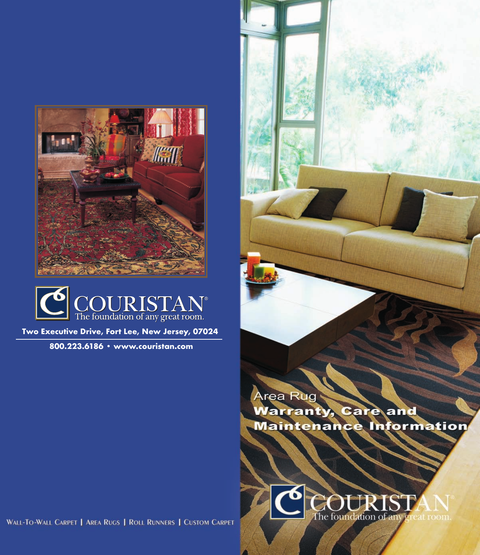



**Two Executive Drive, Fort Lee, New Jersey, 07024**

**800.223.6186 • www.couristan.com**

rea Rug **larranty, Care and Maintenance Information** 

The foundation of

WALL-TO-WALL CARPET | AREA RUGS | ROLL RUNNERS | CUSTOM CARPET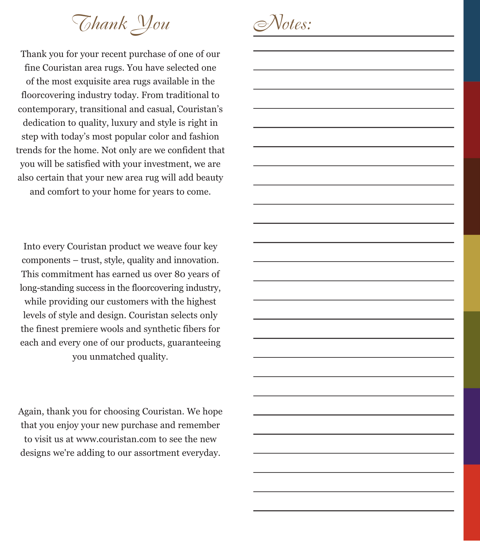*Thank You*

Thank you for your recent purchase of one of our fine Couristan area rugs. You have selected one of the most exquisite area rugs available in the floorcovering industry today. From traditional to contemporary, transitional and casual, Couristan's dedication to quality, luxury and style is right in step with today's most popular color and fashion trends for the home. Not only are we confident that you will be satisfied with your investment, we are also certain that your new area rug will add beauty and comfort to your home for years to come.

Into every Couristan product we weave four key components – trust, style, quality and innovation. This commitment has earned us over 80 years of long-standing success in the floorcovering industry, while providing our customers with the highest levels of style and design. Couristan selects only the finest premiere wools and synthetic fibers for each and every one of our products, guaranteeing you unmatched quality.

Again, thank you for choosing Couristan. We hope that you enjoy your new purchase and remember to visit us at www.couristan.com to see the new designs we're adding to our assortment everyday.

*Notes:*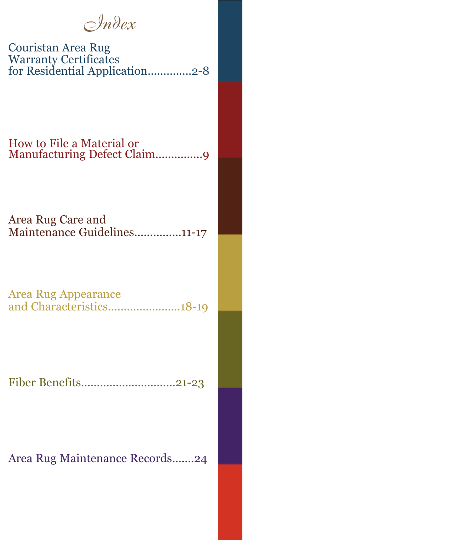*Index*

Couristan Area Rug Warranty Certificates for Residential Application..............2-8

How to File a Material or Manufacturing Defect Claim...............9

Area Rug Care and Maintenance Guidelines...............11-17

Area Rug Appearance and Characteristics.......................18-19

Fiber Benefits..............................21-23

Area Rug Maintenance Records.......24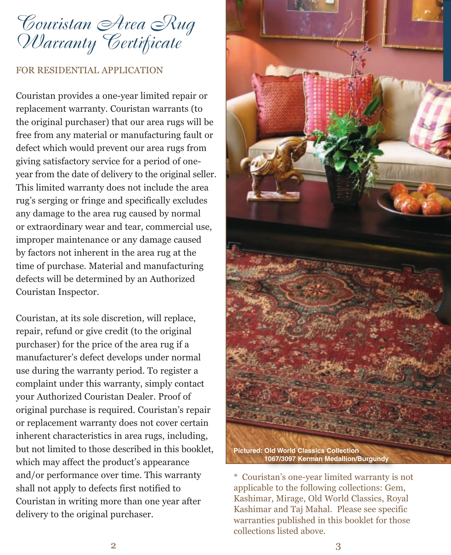*Couristan Area Rug Warranty Certificate*

#### FOR RESIDENTIAL APPLICATION

Couristan provides a one-year limited repair or replacement warranty. Couristan warrants (to the original purchaser) that our area rugs will be free from any material or manufacturing fault or defect which would prevent our area rugs from giving satisfactory service for a period of oneyear from the date of delivery to the original seller. This limited warranty does not include the area rug's serging or fringe and specifically excludes any damage to the area rug caused by normal or extraordinary wear and tear, commercial use, improper maintenance or any damage caused by factors not inherent in the area rug at the time of purchase. Material and manufacturing defects will be determined by an Authorized Couristan Inspector.

Couristan, at its sole discretion, will replace, repair, refund or give credit (to the original purchaser) for the price of the area rug if a manufacturer's defect develops under normal use during the warranty period. To register a complaint under this warranty, simply contact your Authorized Couristan Dealer. Proof of original purchase is required. Couristan's repair or replacement warranty does not cover certain inherent characteristics in area rugs, including, but not limited to those described in this booklet, which may affect the product's appearance and/or performance over time. This warranty shall not apply to defects first notified to Couristan in writing more than one year after delivery to the original purchaser.



<sup>\*</sup> Couristan's one-year limited warranty is not applicable to the following collections: Gem, Kashimar, Mirage, Old World Classics, Royal Kashimar and Taj Mahal. Please see specific warranties published in this booklet for those collections listed above.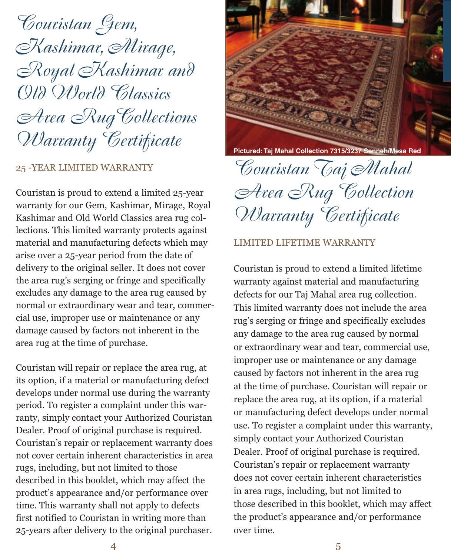*Couristan Gem, Kashimar, Mirage, Royal Kashimar and Old World Classics Area RugCollections Warranty Certificate*

## 25 -YEAR LIMITED WARRANTY

Couristan is proud to extend a limited 25-year warranty for our Gem, Kashimar, Mirage, Royal Kashimar and Old World Classics area rug collections. This limited warranty protects against material and manufacturing defects which may arise over a 25-year period from the date of delivery to the original seller. It does not cover the area rug's serging or fringe and specifically excludes any damage to the area rug caused by normal or extraordinary wear and tear, commercial use, improper use or maintenance or any damage caused by factors not inherent in the area rug at the time of purchase.

Couristan will repair or replace the area rug, at its option, if a material or manufacturing defect develops under normal use during the warranty period. To register a complaint under this warranty, simply contact your Authorized Couristan Dealer. Proof of original purchase is required. Couristan's repair or replacement warranty does not cover certain inherent characteristics in area rugs, including, but not limited to those described in this booklet, which may affect the product's appearance and/or performance over time. This warranty shall not apply to defects first notified to Couristan in writing more than 25-years after delivery to the original purchaser.



**Pictured: Taj Mahal Collection 7315/3237 Senneh/Mesa Red**

*Couristan Taj Mahal Area Rug Collection Warranty Certificate*

#### LIMITED LIFETIME WARRANTY

Couristan is proud to extend a limited lifetime warranty against material and manufacturing defects for our Taj Mahal area rug collection. This limited warranty does not include the area rug's serging or fringe and specifically excludes any damage to the area rug caused by normal or extraordinary wear and tear, commercial use, improper use or maintenance or any damage caused by factors not inherent in the area rug at the time of purchase. Couristan will repair or replace the area rug, at its option, if a material or manufacturing defect develops under normal use. To register a complaint under this warranty, simply contact your Authorized Couristan Dealer. Proof of original purchase is required. Couristan's repair or replacement warranty does not cover certain inherent characteristics in area rugs, including, but not limited to those described in this booklet, which may affect the product's appearance and/or performance over time.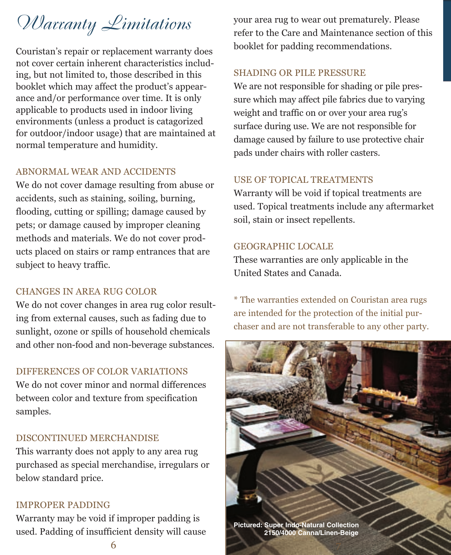# *Warranty Limitations*

Couristan's repair or replacement warranty does not cover certain inherent characteristics including, but not limited to, those described in this booklet which may affect the product's appearance and/or performance over time. It is only applicable to products used in indoor living environments (unless a product is catagorized for outdoor/indoor usage) that are maintained at normal temperature and humidity.

## ABNORMAL WEAR AND ACCIDENTS

We do not cover damage resulting from abuse or accidents, such as staining, soiling, burning, flooding, cutting or spilling; damage caused by pets; or damage caused by improper cleaning methods and materials. We do not cover products placed on stairs or ramp entrances that are subject to heavy traffic.

### CHANGES IN AREA RUG COLOR

We do not cover changes in area rug color resulting from external causes, such as fading due to sunlight, ozone or spills of household chemicals and other non-food and non-beverage substances.

### DIFFERENCES OF COLOR VARIATIONS

We do not cover minor and normal differences between color and texture from specification samples.

### DISCONTINUED MERCHANDISE

This warranty does not apply to any area rug purchased as special merchandise, irregulars or below standard price.

#### IMPROPER PADDING

Warranty may be void if improper padding is used. Padding of insufficient density will cause your area rug to wear out prematurely. Please refer to the Care and Maintenance section of this booklet for padding recommendations.

#### SHADING OR PILE PRESSURE

We are not responsible for shading or pile pressure which may affect pile fabrics due to varying weight and traffic on or over your area rug's surface during use. We are not responsible for damage caused by failure to use protective chair pads under chairs with roller casters.

## USE OF TOPICAL TREATMENTS

Warranty will be void if topical treatments are used. Topical treatments include any aftermarket soil, stain or insect repellents.

#### GEOGRAPHIC LOCALE

These warranties are only applicable in the United States and Canada.

\* The warranties extended on Couristan area rugs are intended for the protection of the initial purchaser and are not transferable to any other party.

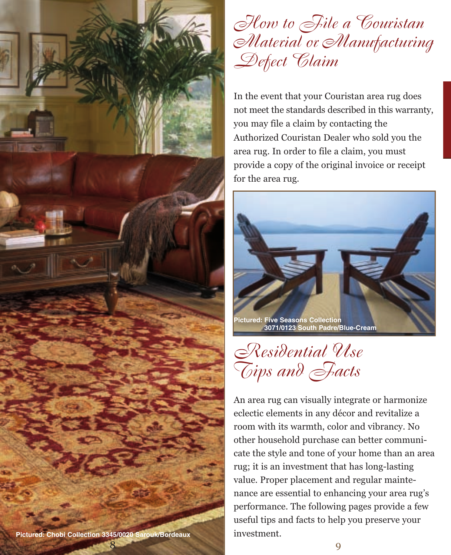

## *How to File a Couristan Material or Manufacturing Defect Claim*

In the event that your Couristan area rug does not meet the standards described in this warranty, you may file a claim by contacting the Authorized Couristan Dealer who sold you the area rug. In order to file a claim, you must provide a copy of the original invoice or receipt for the area rug.





An area rug can visually integrate or harmonize eclectic elements in any décor and revitalize a room with its warmth, color and vibrancy. No other household purchase can better communicate the style and tone of your home than an area rug; it is an investment that has long-lasting value. Proper placement and regular maintenance are essential to enhancing your area rug's performance. The following pages provide a few useful tips and facts to help you preserve your investment.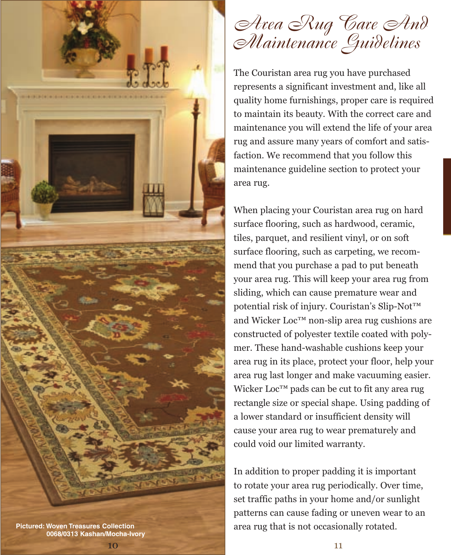

10

## *Area Rug Care And Maintenance Guidelines*

The Couristan area rug you have purchased represents a significant investment and, like all quality home furnishings, proper care is required to maintain its beauty. With the correct care and maintenance you will extend the life of your area rug and assure many years of comfort and satisfaction. We recommend that you follow this maintenance guideline section to protect your area rug.

When placing your Couristan area rug on hard surface flooring, such as hardwood, ceramic, tiles, parquet, and resilient vinyl, or on soft surface flooring, such as carpeting, we recommend that you purchase a pad to put beneath your area rug. This will keep your area rug from sliding, which can cause premature wear and potential risk of injury. Couristan's Slip-Not™ and Wicker Loc™ non-slip area rug cushions are constructed of polyester textile coated with polymer. These hand-washable cushions keep your area rug in its place, protect your floor, help your area rug last longer and make vacuuming easier. Wicker Loc™ pads can be cut to fit any area rug rectangle size or special shape. Using padding of a lower standard or insufficient density will cause your area rug to wear prematurely and could void our limited warranty.

In addition to proper padding it is important to rotate your area rug periodically. Over time, set traffic paths in your home and/or sunlight patterns can cause fading or uneven wear to an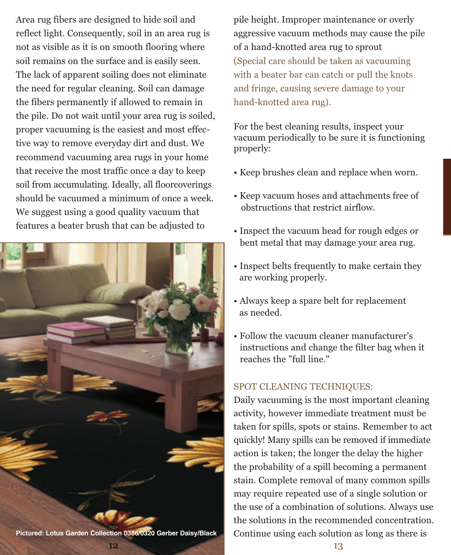Area rug fibers are designed to hide soil and reflect light. Consequently, soil in an area rug is not as visible as it is on smooth flooring where soil remains on the surface and is easily seen. The lack of apparent soiling does not eliminate the need for regular cleaning. Soil can damage the fibers permanently if allowed to remain in the pile. Do not wait until your area rug is soiled, proper vacuuming is the easiest and most effective way to remove everyday dirt and dust. We recommend vacuuming area rugs in your home that receive the most traffic once a day to keep soil from accumulating. Ideally, all floorcoverings should be vacuumed a minimum of once a week. We suggest using a good quality vacuum that features a beater brush that can be adjusted to



12 **Pictured: Lotus Garden Collection 0386/0320 Gerber Daisy/Black** pile height. Improper maintenance or overly aggressive vacuum methods may cause the pile of a hand-knotted area rug to sprout (Special care should be taken as vacuuming with a beater bar can catch or pull the knots and fringe, causing severe damage to your hand-knotted area rug).

For the best cleaning results, inspect your vacuum periodically to be sure it is functioning properly:

- Keep brushes clean and replace when worn.
- Keep vacuum hoses and attachments free of obstructions that restrict airflow.
- Inspect the vacuum head for rough edges or bent metal that may damage your area rug.
- Inspect belts frequently to make certain they are working properly.
- Always keep a spare belt for replacement as needed.
- Follow the vacuum cleaner manufacturer's instructions and change the filter bag when it reaches the "full line."

## SPOT CLEANING TECHNIQUES:

Daily vacuuming is the most important cleaning activity, however immediate treatment must be taken for spills, spots or stains. Remember to act quickly! Many spills can be removed if immediate action is taken; the longer the delay the higher the probability of a spill becoming a permanent stain. Complete removal of many common spills may require repeated use of a single solution or the use of a combination of solutions. Always use the solutions in the recommended concentration. Continue using each solution as long as there is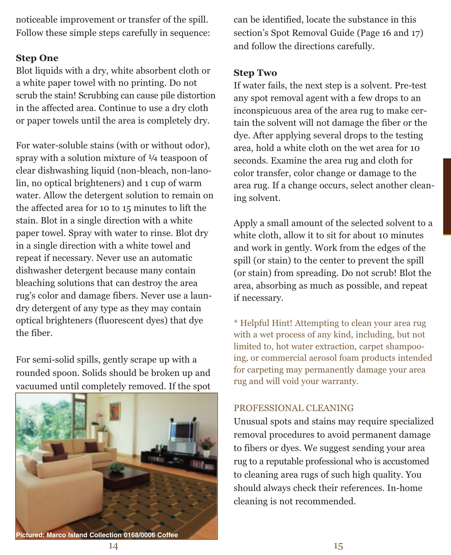noticeable improvement or transfer of the spill. Follow these simple steps carefully in sequence:

## **Step One**

Blot liquids with a dry, white absorbent cloth or a white paper towel with no printing. Do not scrub the stain! Scrubbing can cause pile distortion in the affected area. Continue to use a dry cloth or paper towels until the area is completely dry.

For water-soluble stains (with or without odor), spray with a solution mixture of  $\frac{1}{4}$  teaspoon of clear dishwashing liquid (non-bleach, non-lanolin, no optical brighteners) and 1 cup of warm water. Allow the detergent solution to remain on the affected area for 10 to 15 minutes to lift the stain. Blot in a single direction with a white paper towel. Spray with water to rinse. Blot dry in a single direction with a white towel and repeat if necessary. Never use an automatic dishwasher detergent because many contain bleaching solutions that can destroy the area rug's color and damage fibers. Never use a laundry detergent of any type as they may contain optical brighteners (fluorescent dyes) that dye the fiber.

For semi-solid spills, gently scrape up with a rounded spoon. Solids should be broken up and vacuumed until completely removed. If the spot



can be identified, locate the substance in this section's Spot Removal Guide (Page 16 and 17) and follow the directions carefully.

## **Step Two**

If water fails, the next step is a solvent. Pre-test any spot removal agent with a few drops to an inconspicuous area of the area rug to make certain the solvent will not damage the fiber or the dye. After applying several drops to the testing area, hold a white cloth on the wet area for 10 seconds. Examine the area rug and cloth for color transfer, color change or damage to the area rug. If a change occurs, select another cleaning solvent.

Apply a small amount of the selected solvent to a white cloth, allow it to sit for about 10 minutes and work in gently. Work from the edges of the spill (or stain) to the center to prevent the spill (or stain) from spreading. Do not scrub! Blot the area, absorbing as much as possible, and repeat if necessary.

\* Helpful Hint! Attempting to clean your area rug with a wet process of any kind, including, but not limited to, hot water extraction, carpet shampooing, or commercial aerosol foam products intended for carpeting may permanently damage your area rug and will void your warranty.

## PROFESSIONAL CLEANING

Unusual spots and stains may require specialized removal procedures to avoid permanent damage to fibers or dyes. We suggest sending your area rug to a reputable professional who is accustomed to cleaning area rugs of such high quality. You should always check their references. In-home cleaning is not recommended.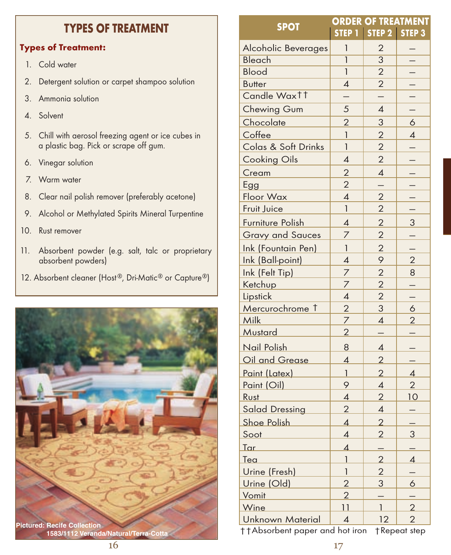## **TYPES OF TREATMENT ORDER OF TREATMENT**

## **Types of Treatment:**

- 1. Cold water
- 2. Detergent solution or carpet shampoo solution
- 3. Ammonia solution
- 4. Solvent
- 5. Chill with aerosol freezing agent or ice cubes in a plastic bag. Pick or scrape off gum.
- 6. Vinegar solution
- 7. Warm water
- 8. Clear nail polish remover (preferably acetone)
- 9. Alcohol or Methylated Spirits Mineral Turpentine
- 10. Rust remover
- 11. Absorbent powder (e.g. salt, talc or proprietary absorbent powders)
- 12. Absorbent cleaner (Host®, Dri-Matic® or Capture®)



|                                                       | UKDEK OF IKEAIMENI       |                          |                          |
|-------------------------------------------------------|--------------------------|--------------------------|--------------------------|
| <b>SPOT</b>                                           | <b>STEP 1</b>            | STEP 2 STEP 3            |                          |
| Alcoholic Beverages                                   | 1                        | $\overline{2}$           |                          |
| <b>Bleach</b>                                         | $\overline{1}$           | $\overline{3}$           |                          |
| <b>Blood</b>                                          | $\mathbf{1}$             | $\overline{2}$           |                          |
| <b>Butter</b>                                         | $\overline{\mathcal{A}}$ | $\overline{2}$           |                          |
| Candle Waxtt                                          |                          |                          |                          |
| Chewing Gum                                           | 5                        | $\overline{4}$           |                          |
| Chocolate                                             | $\overline{2}$           | 3                        | 6                        |
| Coffee                                                | $\mathbf{1}$             | $\overline{2}$           | 4                        |
| Colas & Soft Drinks                                   | $\mathbf{1}$             | $\overline{2}$           |                          |
| <b>Cooking Oils</b>                                   | $\overline{\mathcal{A}}$ | $\overline{2}$           |                          |
| Cream                                                 | $\overline{2}$           | $\overline{\mathcal{A}}$ |                          |
| Egg                                                   | $\overline{2}$           |                          |                          |
| Floor Wax                                             | $\overline{\mathcal{A}}$ | $\overline{2}$           |                          |
| Fruit Juice                                           | $\mathbf{1}$             | $\overline{2}$           |                          |
| Furniture Polish                                      | $\overline{\mathcal{A}}$ | $\overline{2}$           | 3                        |
| <b>Gravy and Sauces</b>                               | 7                        | $\overline{2}$           |                          |
| Ink (Fountain Pen)                                    | $\mathbf{1}$             | $\overline{2}$           |                          |
| Ink (Ball-point)                                      | $\overline{\mathcal{A}}$ | 9                        | $\overline{2}$           |
| Ink (Felt Tip)                                        | 7                        | $\overline{2}$           | 8                        |
| Ketchup                                               | $\overline{z}$           | $\overline{2}$           |                          |
| Lipstick                                              | $\overline{\mathcal{A}}$ | $\overline{2}$           |                          |
| Mercurochrome 1                                       | $\overline{2}$           | $\overline{3}$           | 6                        |
| Milk                                                  | $\overline{z}$           | $\overline{\mathcal{A}}$ | $\overline{2}$           |
| Mustard                                               | $\overline{2}$           |                          |                          |
| Nail Polish                                           | 8                        | $\overline{\mathcal{A}}$ |                          |
| Oil and Grease                                        | 4                        | $\overline{2}$           |                          |
| Paint (Latex)                                         | $\mathbf{1}$             | $\overline{2}$           | $\overline{\mathcal{A}}$ |
| <u>Paint (Oil)</u>                                    | 9                        | 4                        | $\overline{2}$           |
| Rust                                                  | $\overline{\mathcal{A}}$ | $\overline{2}$           | <u> 10</u>               |
| <b>Salad Dressing</b>                                 | $\overline{2}$           | 4                        |                          |
| <b>Shoe Polish</b>                                    | $\overline{\mathcal{A}}$ | $\overline{2}$           |                          |
| Soot                                                  | 4                        | $\overline{2}$           | 3                        |
| Tar                                                   | 4                        |                          |                          |
| Tea                                                   | 1                        | $\overline{2}$           | 4                        |
| Urine (Fresh)                                         | 1                        | $\overline{2}$           |                          |
| Urine (Old)                                           | $\overline{2}$           | 3                        | 6                        |
| Vomit                                                 | $\overline{2}$           |                          |                          |
| Wine                                                  | $\overline{11}$          | 1                        | $\overline{2}$           |
| <b>Unknown Material</b>                               | $\overline{4}$           | 12                       | 2                        |
| ††Absorbent paper and hot iron<br><b>TRepeat step</b> |                          |                          |                          |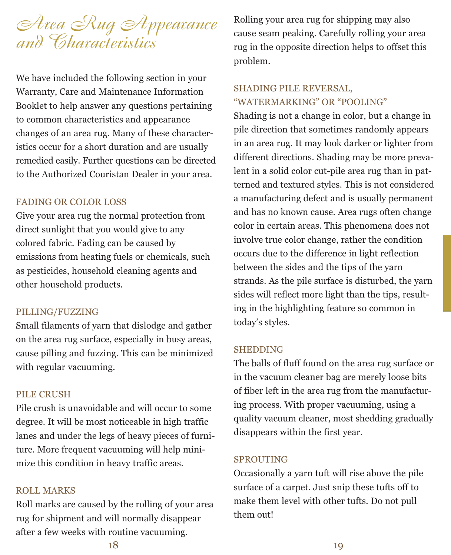

We have included the following section in your Warranty, Care and Maintenance Information Booklet to help answer any questions pertaining to common characteristics and appearance changes of an area rug. Many of these characteristics occur for a short duration and are usually remedied easily. Further questions can be directed to the Authorized Couristan Dealer in your area.

#### FADING OR COLOR LOSS

Give your area rug the normal protection from direct sunlight that you would give to any colored fabric. Fading can be caused by emissions from heating fuels or chemicals, such as pesticides, household cleaning agents and other household products.

#### PILLING/FUZZING

Small filaments of yarn that dislodge and gather on the area rug surface, especially in busy areas, cause pilling and fuzzing. This can be minimized with regular vacuuming.

#### PILE CRUSH

Pile crush is unavoidable and will occur to some degree. It will be most noticeable in high traffic lanes and under the legs of heavy pieces of furniture. More frequent vacuuming will help minimize this condition in heavy traffic areas.

#### ROLL MARKS

Roll marks are caused by the rolling of your area rug for shipment and will normally disappear after a few weeks with routine vacuuming.

Rolling your area rug for shipping may also cause seam peaking. Carefully rolling your area rug in the opposite direction helps to offset this problem.

## SHADING PILE REVERSAL, "WATERMARKING" OR "POOLING"

Shading is not a change in color, but a change in pile direction that sometimes randomly appears in an area rug. It may look darker or lighter from different directions. Shading may be more prevalent in a solid color cut-pile area rug than in patterned and textured styles. This is not considered a manufacturing defect and is usually permanent and has no known cause. Area rugs often change color in certain areas. This phenomena does not involve true color change, rather the condition occurs due to the difference in light reflection between the sides and the tips of the yarn strands. As the pile surface is disturbed, the yarn sides will reflect more light than the tips, resulting in the highlighting feature so common in today's styles.

#### SHEDDING

The balls of fluff found on the area rug surface or in the vacuum cleaner bag are merely loose bits of fiber left in the area rug from the manufacturing process. With proper vacuuming, using a quality vacuum cleaner, most shedding gradually disappears within the first year.

#### SPROUTING

Occasionally a yarn tuft will rise above the pile surface of a carpet. Just snip these tufts off to make them level with other tufts. Do not pull them out!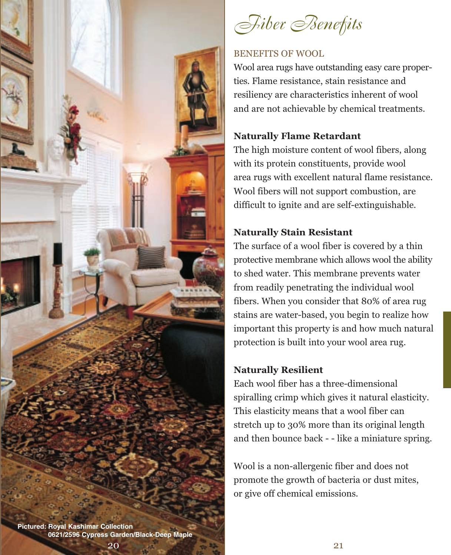

*Fiber Benefits*

### BENEFITS OF WOOL

Wool area rugs have outstanding easy care properties. Flame resistance, stain resistance and resiliency are characteristics inherent of wool and are not achievable by chemical treatments.

## **Naturally Flame Retardant**

The high moisture content of wool fibers, along with its protein constituents, provide wool area rugs with excellent natural flame resistance. Wool fibers will not support combustion, are difficult to ignite and are self-extinguishable.

## **Naturally Stain Resistant**

The surface of a wool fiber is covered by a thin protective membrane which allows wool the ability to shed water. This membrane prevents water from readily penetrating the individual wool fibers. When you consider that 80% of area rug stains are water-based, you begin to realize how important this property is and how much natural protection is built into your wool area rug.

## **Naturally Resilient**

Each wool fiber has a three-dimensional spiralling crimp which gives it natural elasticity. This elasticity means that a wool fiber can stretch up to 30% more than its original length and then bounce back - - like a miniature spring.

Wool is a non-allergenic fiber and does not promote the growth of bacteria or dust mites, or give off chemical emissions.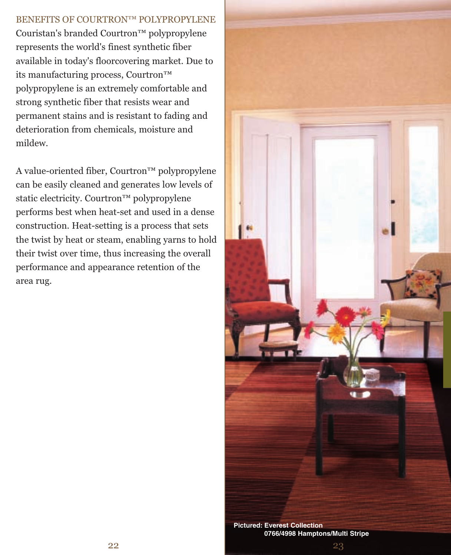## BENEFITS OF COURTRON™ POLYPROPYLENE

Couristan's branded Courtron™ polypropylene represents the world's finest synthetic fiber available in today's floorcovering market. Due to its manufacturing process, Courtron™ polypropylene is an extremely comfortable and strong synthetic fiber that resists wear and permanent stains and is resistant to fading and deterioration from chemicals, moisture and mildew.

A value-oriented fiber, Courtron™ polypropylene can be easily cleaned and generates low levels of static electricity. Courtron™ polypropylene performs best when heat-set and used in a dense construction. Heat-setting is a process that sets the twist by heat or steam, enabling yarns to hold their twist over time, thus increasing the overall performance and appearance retention of the area rug.



23